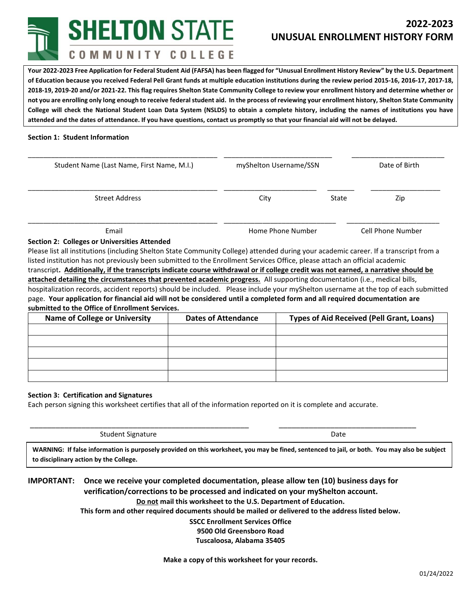**SHELTON STATE** COMMUNITY COLLEGE

# **2022-2023 UNUSUAL ENROLLMENT HISTORY FORM**

**Your 2022-2023 Free Application for Federal Student Aid (FAFSA) has been flagged for "Unusual Enrollment History Review" by the U.S. Department of Education because you received Federal Pell Grant funds at multiple education institutions during the review period 2015-16, 2016-17, 2017-18, 2018-19, 2019-20 and/or 2021-22. This flag requires Shelton State Community College to review your enrollment history and determine whether or not you are enrolling only long enough to receive federal student aid. In the process of reviewing your enrollment history, Shelton State Community College will check the National Student Loan Data System (NSLDS) to obtain a complete history, including the names of institutions you have attended and the dates of attendance. If you have questions, contact us promptly so that your financial aid will not be delayed.**

### **Section 1: Student Information**

| Student Name (Last Name, First Name, M.I.) | myShelton Username/SSN |       | Date of Birth            |
|--------------------------------------------|------------------------|-------|--------------------------|
| <b>Street Address</b>                      | City                   | State | Zip                      |
| Email                                      | Home Phone Number      |       | <b>Cell Phone Number</b> |

#### **Section 2: Colleges or Universities Attended**

Please list all institutions (including Shelton State Community College) attended during your academic career. If a transcript from a listed institution has not previously been submitted to the Enrollment Services Office, please attach an official academic transcript**. Additionally, if the transcripts indicate course withdrawal or if college credit was not earned, a narrative should be attached detailing the circumstances that prevented academic progress.** All supporting documentation (i.e., medical bills, hospitalization records, accident reports) should be included. Please include your myShelton username at the top of each submitted page. **Your application for financial aid will not be considered until a completed form and all required documentation are submitted to the Office of Enrollment Services.** 

| <b>Name of College or University</b> | <b>Dates of Attendance</b> | <b>Types of Aid Received (Pell Grant, Loans)</b> |
|--------------------------------------|----------------------------|--------------------------------------------------|
|                                      |                            |                                                  |
|                                      |                            |                                                  |
|                                      |                            |                                                  |
|                                      |                            |                                                  |
|                                      |                            |                                                  |

#### **Section 3: Certification and Signatures**

Each person signing this worksheet certifies that all of the information reported on it is complete and accurate.

Student Signature Date Date Communications and Date Date

**WARNING: If false information is purposely provided on this worksheet, you may be fined, sentenced to jail, or both. You may also be subject to disciplinary action by the College.**

\_\_\_\_\_\_\_\_\_\_\_\_\_\_\_\_\_\_\_\_\_\_\_\_\_\_\_\_\_\_\_\_\_\_\_\_\_\_\_\_\_\_\_\_\_\_\_\_\_\_\_ \_\_\_\_\_\_\_\_\_\_\_\_\_\_\_\_\_\_\_\_\_\_\_\_\_\_\_\_\_\_\_\_

## **IMPORTANT: Once we receive your completed documentation, please allow ten (10) business days for verification/corrections to be processed and indicated on your myShelton account. Do not mail this worksheet to the U.S. Department of Education.**

**This form and other required documents should be mailed or delivered to the address listed below.**

**SSCC Enrollment Services Office 9500 Old Greensboro Road Tuscaloosa, Alabama 35405**

**Make a copy of this worksheet for your records.**